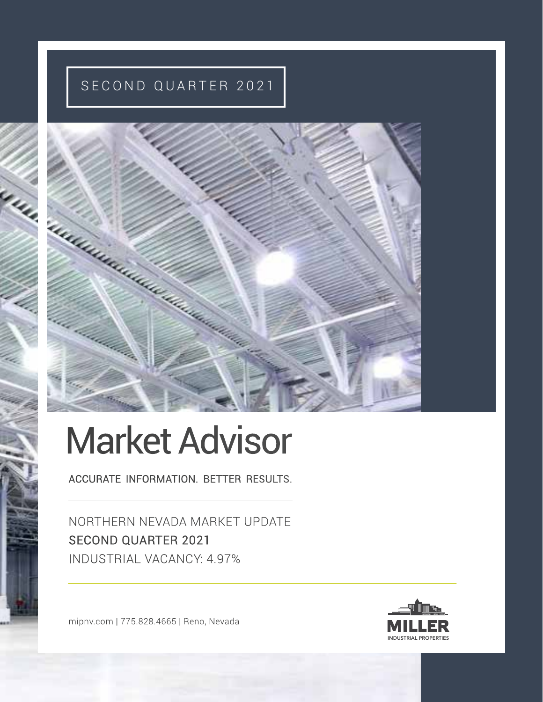# SECOND QUARTER 2021



# Market Advisor

ACCURATE INFORMATION. BETTER RESULTS.

NORTHERN NEVADA MARKET UPDATE SECOND QUARTER 2021 INDUSTRIAL VACANCY: 4.97%

mipnv.com | 775.828.4665 | Reno, Nevada

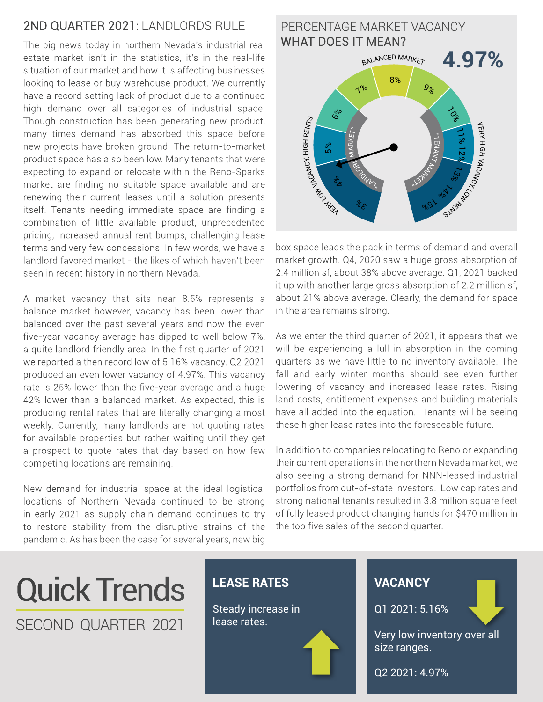# 2ND QUARTER 2021: LANDI ORDS RULE

The big news today in northern Nevada's industrial real estate market isn't in the statistics, it's in the real-life situation of our market and how it is affecting businesses looking to lease or buy warehouse product. We currently have a record setting lack of product due to a continued high demand over all categories of industrial space. Though construction has been generating new product, many times demand has absorbed this space before new projects have broken ground. The return-to-market product space has also been low. Many tenants that were expecting to expand or relocate within the Reno-Sparks market are finding no suitable space available and are renewing their current leases until a solution presents itself. Tenants needing immediate space are finding a combination of little available product, unprecedented pricing, increased annual rent bumps, challenging lease terms and very few concessions. In few words, we have a landlord favored market - the likes of which haven't been seen in recent history in northern Nevada.

A market vacancy that sits near 8.5% represents a balance market however, vacancy has been lower than balanced over the past several years and now the even five-year vacancy average has dipped to well below 7%, a quite landlord friendly area. In the first quarter of 2021 we reported a then record low of 5.16% vacancy. Q2 2021 produced an even lower vacancy of 4.97%. This vacancy rate is 25% lower than the five-year average and a huge 42% lower than a balanced market. As expected, this is producing rental rates that are literally changing almost weekly. Currently, many landlords are not quoting rates for available properties but rather waiting until they get a prospect to quote rates that day based on how few competing locations are remaining.

New demand for industrial space at the ideal logistical locations of Northern Nevada continued to be strong in early 2021 as supply chain demand continues to try to restore stability from the disruptive strains of the pandemic. As has been the case for several years, new big

#### **4.97%** PERCENTAGE MARKET VACANCY WHAT DOES IT MEAN? " $\overline{\phantom{a}}$ Ez  $\overline{\mathsf{X}}$ **MARKET**  $\gamma_{\nu_{\lambda_{n}}}$ DRO DR M ARKET" BALANCED MARKET **SALARANCY, HIGH RENTS** VERY HIGH VACANCY, SlM3bMO  $3^{\circ}$  $\frac{6}{2}$ 5 % 6%  $7°$ 8%  $9<sub>o</sub>$  $\zeta$ 11% 12 % 1 3% 9/05 1 % 1

box space leads the pack in terms of demand and overall market growth. Q4, 2020 saw a huge gross absorption of 2.4 million sf, about 38% above average. Q1, 2021 backed it up with another large gross absorption of 2.2 million sf, about 21% above average. Clearly, the demand for space in the area remains strong.

As we enter the third quarter of 2021, it appears that we will be experiencing a lull in absorption in the coming quarters as we have little to no inventory available. The fall and early winter months should see even further lowering of vacancy and increased lease rates. Rising land costs, entitlement expenses and building materials have all added into the equation. Tenants will be seeing these higher lease rates into the foreseeable future.

In addition to companies relocating to Reno or expanding their current operations in the northern Nevada market, we also seeing a strong demand for NNN-leased industrial portfolios from out-of-state investors. Low cap rates and strong national tenants resulted in 3.8 million square feet of fully leased product changing hands for \$470 million in the top five sales of the second quarter.

# Quick Trends SECOND QUARTER 2021

## **LEASE RATES**

Steady increase in lease rates.

# **VACANCY**

Q1 2021: 5.16%

Very low inventory over all size ranges.

Q2 2021: 4.97%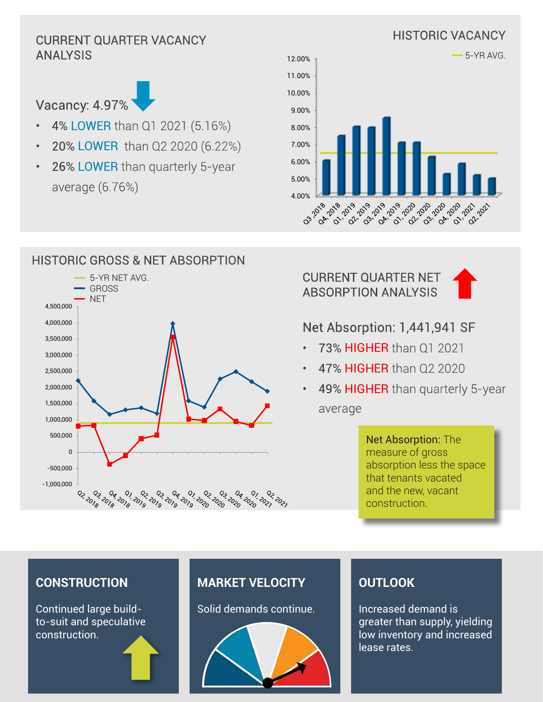# HISTORIC VACANCY CURRENT QUARTER VACANCY ANALYSIS



- 4% LOWER than Q1 2021 (5.16%)
- 20% LOWER than Q2 2020 (6.22%)
- 26% LOWER than quarterly 5-year average (6.76%)

HISTORIC GROSS & NET ABSORPTION





#### 5-YR NET AVG. GROSS **NET** 4,500,000 4,000,000 3,500,000 3,000,000 2,500,000 2,000,000 1,500,000 1,000,000 500,000  $\overline{0}$ -500,000 -1,000,000 0<sub>3, 0</sub>04<br>0<sub>19</sub> -0<sub>19</sub> 02.2018 02, 202, دی وګړه فکو فکو کړه وګړه وړه وړه ولکه وړه وړه وړ

CURRENT QUARTER NET ABSORPTION ANALYSIS



# Net Absorption: 1,441,941 SF

- 73% HIGHER than Q1 2021
- 47% HIGHER than Q2 2020
- 49% HIGHER than quarterly 5-year average

Net Absorption: The measure of gross absorption less the space that tenants vacated and the new, vacant construction.

## **CONSTRUCTION**

Continued large buildto-suit and speculative construction.

# **MARKET VELOCITY**

Solid demands continue.



# **OUTLOOK**

Increased demand is greater than supply, yielding low inventory and increased lease rates.